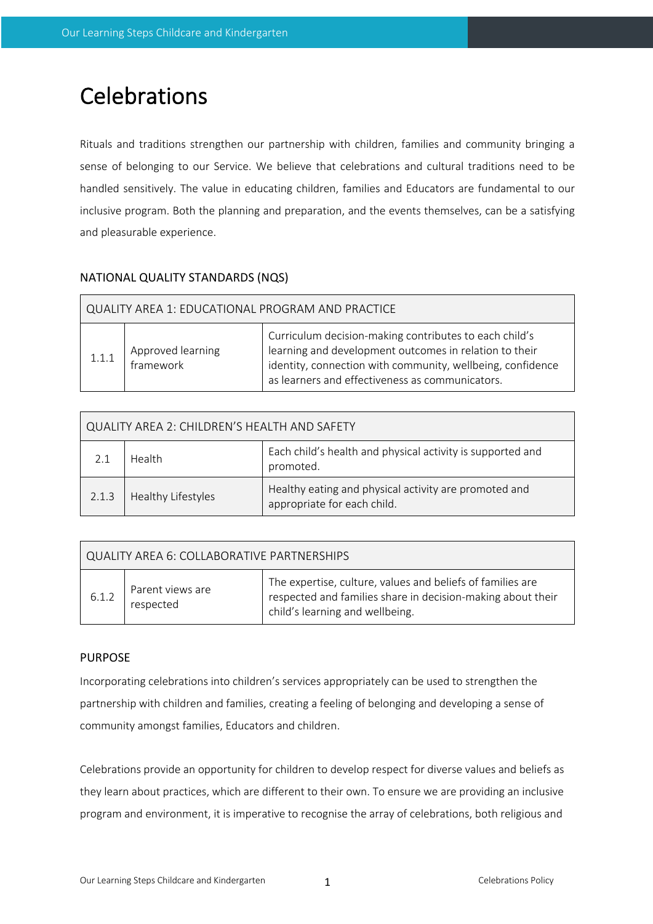# Celebrations

Rituals and traditions strengthen our partnership with children, families and community bringing a sense of belonging to our Service. We believe that celebrations and cultural traditions need to be handled sensitively. The value in educating children, families and Educators are fundamental to our inclusive program. Both the planning and preparation, and the events themselves, can be a satisfying and pleasurable experience.

## NATIONAL QUALITY STANDARDS (NQS)

| QUALITY AREA 1: EDUCATIONAL PROGRAM AND PRACTICE |                                |                                                                                                                                                                                                                                   |  |  |  |
|--------------------------------------------------|--------------------------------|-----------------------------------------------------------------------------------------------------------------------------------------------------------------------------------------------------------------------------------|--|--|--|
| 1.1.1                                            | Approved learning<br>framework | Curriculum decision-making contributes to each child's<br>learning and development outcomes in relation to their<br>identity, connection with community, wellbeing, confidence<br>as learners and effectiveness as communicators. |  |  |  |

| <b>QUALITY AREA 2: CHILDREN'S HEALTH AND SAFETY</b> |                    |                                                                                      |  |  |  |
|-----------------------------------------------------|--------------------|--------------------------------------------------------------------------------------|--|--|--|
|                                                     | Health             | Each child's health and physical activity is supported and<br>promoted.              |  |  |  |
| 2.1.3                                               | Healthy Lifestyles | Healthy eating and physical activity are promoted and<br>appropriate for each child. |  |  |  |

| QUALITY AREA 6: COLLABORATIVE PARTNERSHIPS |                               |                                                                                                                                                              |  |  |  |  |
|--------------------------------------------|-------------------------------|--------------------------------------------------------------------------------------------------------------------------------------------------------------|--|--|--|--|
| 6.1.2                                      | Parent views are<br>respected | The expertise, culture, values and beliefs of families are<br>respected and families share in decision-making about their<br>child's learning and wellbeing. |  |  |  |  |

#### PURPOSE

Incorporating celebrations into children's services appropriately can be used to strengthen the partnership with children and families, creating a feeling of belonging and developing a sense of community amongst families, Educators and children.

Celebrations provide an opportunity for children to develop respect for diverse values and beliefs as they learn about practices, which are different to their own. To ensure we are providing an inclusive program and environment, it is imperative to recognise the array of celebrations, both religious and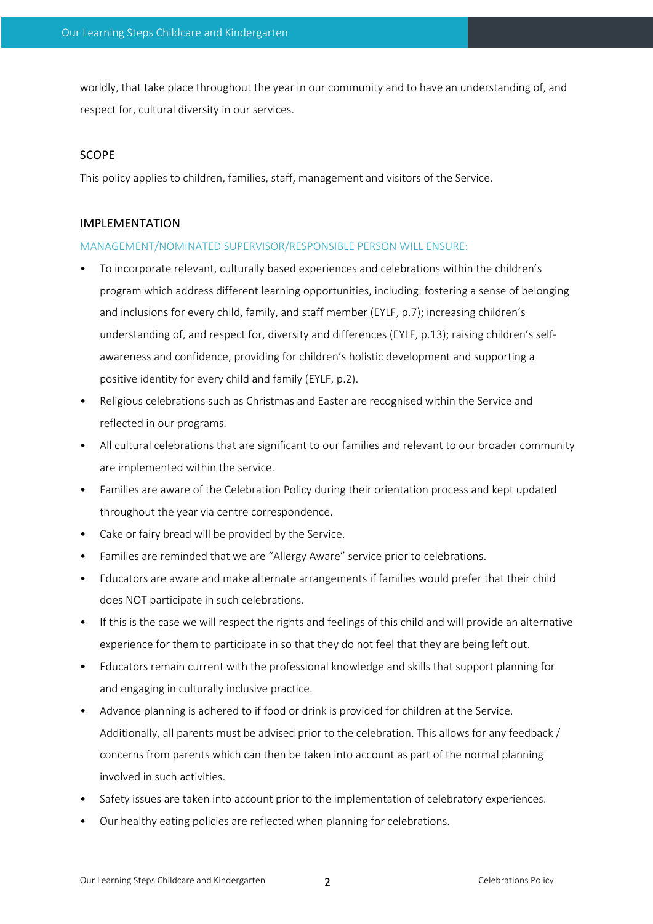worldly, that take place throughout the year in our community and to have an understanding of, and respect for, cultural diversity in our services.

#### SCOPE

This policy applies to children, families, staff, management and visitors of the Service.

#### IMPLEMENTATION

#### MANAGEMENT/NOMINATED SUPERVISOR/RESPONSIBLE PERSON WILL ENSURE:

- To incorporate relevant, culturally based experiences and celebrations within the children's program which address different learning opportunities, including: fostering a sense of belonging and inclusions for every child, family, and staff member (EYLF, p.7); increasing children's understanding of, and respect for, diversity and differences (EYLF, p.13); raising children's selfawareness and confidence, providing for children's holistic development and supporting a positive identity for every child and family (EYLF, p.2).
- Religious celebrations such as Christmas and Easter are recognised within the Service and reflected in our programs.
- All cultural celebrations that are significant to our families and relevant to our broader community are implemented within the service.
- Families are aware of the Celebration Policy during their orientation process and kept updated throughout the year via centre correspondence.
- Cake or fairy bread will be provided by the Service.
- Families are reminded that we are "Allergy Aware" service prior to celebrations.
- Educators are aware and make alternate arrangements if families would prefer that their child does NOT participate in such celebrations.
- If this is the case we will respect the rights and feelings of this child and will provide an alternative experience for them to participate in so that they do not feel that they are being left out.
- Educators remain current with the professional knowledge and skills that support planning for and engaging in culturally inclusive practice.
- Advance planning is adhered to if food or drink is provided for children at the Service. Additionally, all parents must be advised prior to the celebration. This allows for any feedback / concerns from parents which can then be taken into account as part of the normal planning involved in such activities.
- Safety issues are taken into account prior to the implementation of celebratory experiences.
- Our healthy eating policies are reflected when planning for celebrations.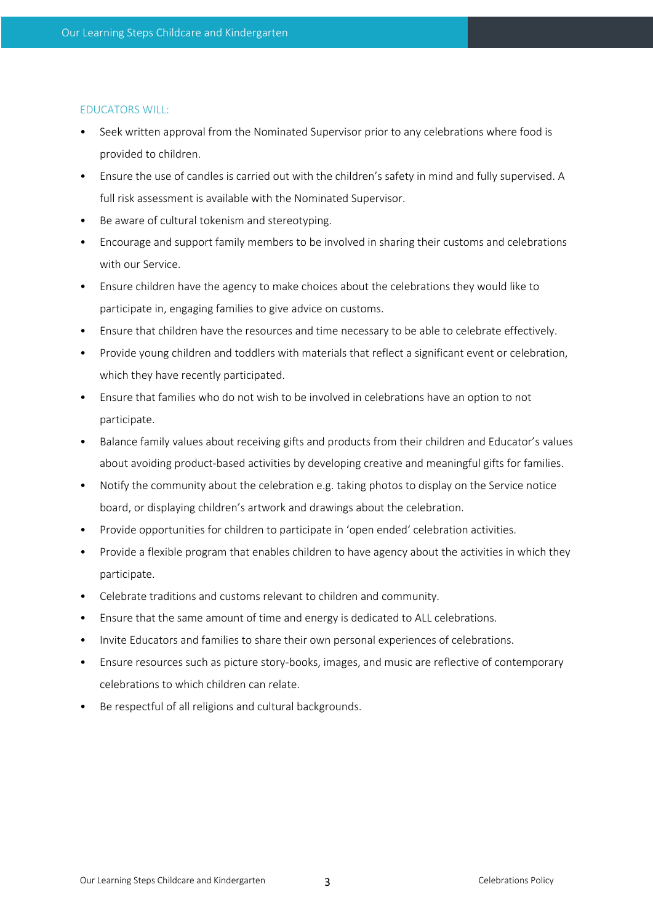#### EDUCATORS WILL:

- Seek written approval from the Nominated Supervisor prior to any celebrations where food is provided to children.
- Ensure the use of candles is carried out with the children's safety in mind and fully supervised. A full risk assessment is available with the Nominated Supervisor.
- Be aware of cultural tokenism and stereotyping.
- Encourage and support family members to be involved in sharing their customs and celebrations with our Service.
- Ensure children have the agency to make choices about the celebrations they would like to participate in, engaging families to give advice on customs.
- Ensure that children have the resources and time necessary to be able to celebrate effectively.
- Provide young children and toddlers with materials that reflect a significant event or celebration, which they have recently participated.
- Ensure that families who do not wish to be involved in celebrations have an option to not participate.
- Balance family values about receiving gifts and products from their children and Educator's values about avoiding product-based activities by developing creative and meaningful gifts for families.
- Notify the community about the celebration e.g. taking photos to display on the Service notice board, or displaying children's artwork and drawings about the celebration.
- Provide opportunities for children to participate in 'open ended' celebration activities.
- Provide a flexible program that enables children to have agency about the activities in which they participate.
- Celebrate traditions and customs relevant to children and community.
- Ensure that the same amount of time and energy is dedicated to ALL celebrations.
- Invite Educators and families to share their own personal experiences of celebrations.
- Ensure resources such as picture story-books, images, and music are reflective of contemporary celebrations to which children can relate.
- Be respectful of all religions and cultural backgrounds.